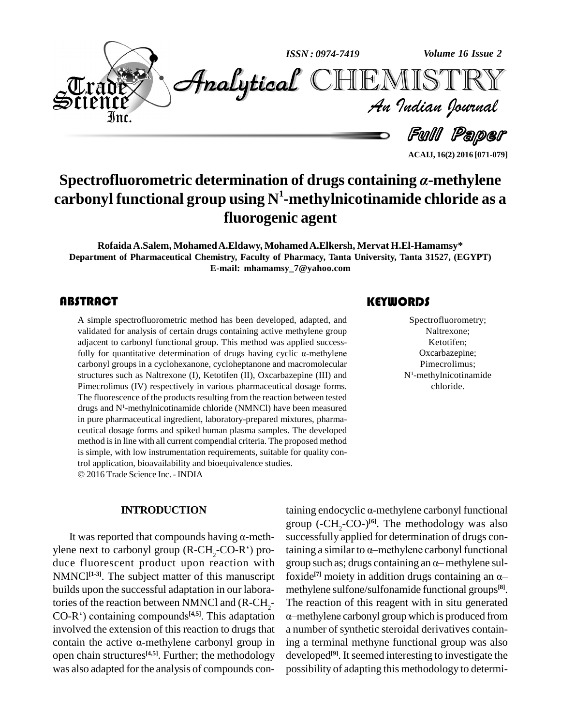

**ACAIJ, 16(2) 2016 [071-079]**

# **Spectrofluorometric determination of drugs containing**  $\alpha$ **-methylene carbonyl functional group using N <sup>1</sup>-methylnicotinamide chloride as a fluorogenic agent**

**RofaidaA.Salem, MohamedA.Eldawy, MohamedA.Elkersh, Mervat H.El-Hamamsy\* Department of Pharmaceutical Chemistry, Faculty of Pharmacy, Tanta University, Tanta 31527, (EGYPT) E-mail: [mhamamsy\\_7@yahoo.com](mailto:mhamamsy_7@yahoo.com)**

A simple spectrofluorometric method has been developed, adapted, and validated for analysis of certain drugs containing active methylene group adjacent to carbonyl functional group. This method was applied success-A simple spectrofluorometric method has been developed, adapted, and validated for analysis of certain drugs containing active methylene group validated for analysis of certain drugs containing active methylene group<br>adjacent to carbonyl functional group. This method was applied success-<br>fully for quantitative determination of drugs having cyclic  $\alpha$ -methylene carbonyl groups in a cyclohexanone, cycloheptanone and macromolecular structures such as Naltrexone (I), Ketotifen (II), Oxcarbazepine (III) and Pimecrolimus (IV) respectively in various pharmaceutical dosage forms. The fluorescence of the products resulting from the reaction between tested drugs and N<sup>1</sup>-methylnicotinamide chloride (NMNCl) have been measured in pure pharmaceutical ingredient, laboratory-prepared mixtures, pharma ceutical dosage forms and spiked human plasma samples. The developed method is in line with all current compendial criteria. The proposed method is simple, with low instrumentation requirements, suitable for quality control application, bioavailability and bioequivalence studies. 2016 Trade Science Inc. -INDIA

#### **INTRODUCTION**

It was reported that compounds having  $\alpha$ -methylene next to carbonyl group (R-CH<sub>2</sub>-CO-R<sup>e</sup>) pro-<br>duce fluorescent product upon reaction with group such as; drugs containing an  $\alpha$ -methylene sul-NMNCI<sup>[1-3]</sup>. The subject matter of this manuscript for builds upon the successful adaptation in our labora-<br>tories of the reaction between NMNCl and (R-CH<sub>2</sub>- The<br>CO-R<sup>\*</sup>) containing compounds<sup>[4,5]</sup>. This adaptation  $\alpha$ -n CO-R<sup>c</sup>) containing compounds<sup>[4,5]</sup>. This adaptation  $\alpha$ —meth<br>involved the extension of this reaction to drugs that a numb<br>contain the active  $\alpha$ -methylene carbonyl group in ing a t involved the extension of this reaction to drugs that open chain structures<sup>[4,5]</sup>. Further; the methodology develo was also adapted for the analysis of compounds con-

### **KEYWORDS**

Spectrofluorom<br>Naltrexone:<br>Ketotifen; Spectrofluorometry; Naltrexone; Ketotifen; Oxcarbazepine; Pimecrolimus;  $N<sup>1</sup>$ -methylnicotinamide chloride.

taining endocyclic  $\alpha$ -methylene carbonyl functional group (-CH<sub>2</sub>-CO-)<sup>[6]</sup>. The methodology was also<br>successfully applied for determination of drugs con-<br>taining a similar to α–methylene carbonyl functional successfully applied for determination of drugs containing a similar to  $\alpha$ —methylene carbonyl functional group such as; drugs containing an  $\alpha$ —methylene sultaining a similar to  $\alpha$ —methylene carbonyl functional<br>group such as; drugs containing an  $\alpha$ —methylene sul-<br>foxide<sup>[7]</sup> moiety in addition drugs containing an  $\alpha$  methylene sulfone/sulfonamide functional groups<sup>[8]</sup>. The reaction of this reagent with in situ generated  $\alpha$ -methylene carbonyl group which is produced from a number of synthetic steroidal derivatives containing a terminal methyne functional group was also developed<sup>[9]</sup>. It seemed interesting to investigate the possibility of adapting this methodology to determi-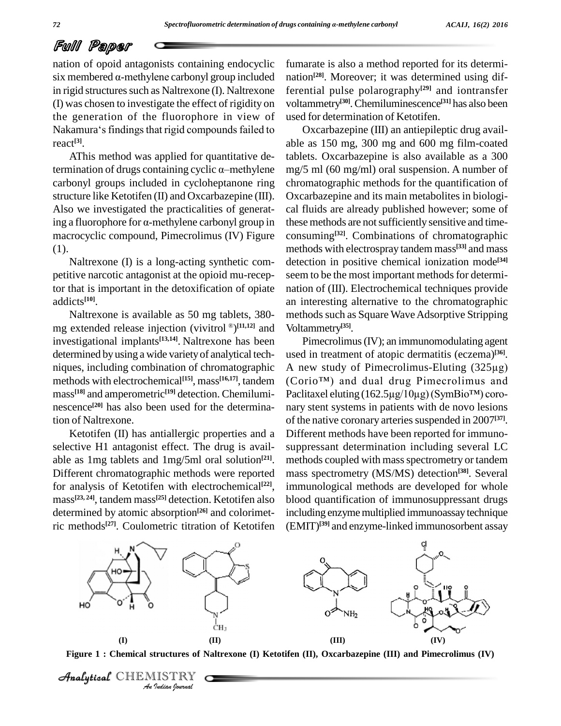nation of opoid antagonists containing endocyclic six membered  $\alpha$ -methylene carbonyl group included in rigid structures such as Naltrexone (I). Naltrexone (I) was chosen to investigate the effect of rigidity on the generation of the fluorophore in view of (I) was chosen to investigate the effect of rigidity on voltam<br>the generation of the fluorophore in view of used for<br>Nakamura's findings that rigid compounds failed to Ox react **[3]**.

AThis method was applied for quantitative determination of drugs containing cyclic  $\alpha$ -methylene carbonyl groups included in cycloheptanone ring structure like Ketotifen (II) and Oxcarbazepine (III). Also we investigated the practicalities of generating a fluorophore for  $\alpha$ -methylene carbonyl group in macrocyclic compound, Pimecrolimus (IV) Figure  $(1)$ .<br>Naltrexone  $(I)$  is a long-acting synthetic com-

petitive narcotic antagonist at the opioid mu-receptor that is important in the detoxification of opiate addicts **[10]**.

Naltrexone is available as 50 mg tablets, 380- Naltrexone is available as 50 mg tablets, 380- method<br>mg extended release injection (vivitrol <sup>®</sup>)<sup>[11,12]</sup> and Voltam investigational implants **[13,14]**. Naltrexone has been determined byusing a wide varietyof analytical tech niques, including combination of chromatographic methods with electrochemical<sup>[15]</sup>, mass<sup>[16,17]</sup>, tandem (Corio<sup>TM</sup>) mass **[18]** and amperometric **[19]** detection. Chemilumi nescence **[20]** has also been used for the determination of Naltrexone.

Ketotifen (II) has antiallergic properties and a selective H1 antagonist effect. The drug is avail able as 1mg tablets and 1mg/5ml oral solution<sup>[21]</sup>. met Different chromatographic methods were reported for analysis of Ketotifen with electrochemical **[22]**, mass **[23, 24]**, tandem mass **[25]** detection. Ketotifen also determined by atomic absorption **[26]** and colorimetric methods<sup>[27]</sup>. Coulometric titration of Ketotifen (EMIT

fumarate is also a method reported for its determi nation **[28]**. Moreover; it was determined using differential pulse polarography **[29]** and iontransfer voltammetry **[30]**.Chemiluminescence **[31]** has also been used for determination of Ketotifen.

Oxcarbazepine (III) an antiepileptic drug avail able as 150 mg, 300 mg and 600 mg film-coated tablets. Oxcarbazepine is also available as a 300 mg/5 ml (60 mg/ml) oral suspension. A number of chromatographic methods for the quantification of Oxcarbazepine and its main metabolites in biologi cal fluids are already published however; some of these methods are not sufficiently sensitive and timeconsuming **[32]**. Combinations of chromatographic methods with electrospray tandem mass **[33]** and mass detection in positive chemical ionization mode **[34]** seem to be the most important methods for determination of (III). Electrochemical techniques provide an interesting alternative to the chromatographic methods such as Square Wave Adsorptive Stripping Voltammetry **[35]**.

Pimecrolimus(IV); an immunomodulating agent used in treatment of atopic dermatitis (eczema) **[36]**. Pimecrolimus (IV); an immunomodulating agent<br>used in treatment of atopic dermatitis (eczema)<sup>[36]</sup>.<br>A new study of Pimecrolimus-Eluting (325µg) used in treatment of atopic dermatitis (eczema)<sup>[36]</sup>.<br>A new study of Pimecrolimus-Eluting (325µg)<br>(Corio<sup>™</sup>) and dual drug Pimecrolimus and A new study of Pimecrolimus-Eluting (325µg)<br>(Corio<sup>TM</sup>) and dual drug Pimecrolimus and<br>Paclitaxel eluting (162.5µg/10µg)(SymBio<sup>TM</sup>) coronary stent systems in patients with de novo lesions of the native coronary arteries suspended in 2007<sup>[37]</sup>. Different methods have been reported for immuno suppressant determination including several LC methods coupled with mass spectrometry or tandem mass spectrometry (MS/MS) detection **[38]**. Several immunological methods are developed for whole blood quantification of immunosuppressant drugs including enzyme multiplied immunoassay technique (EMIT) **[39]** and enzyme-linked immunosorbent assay





 $\mathcal{A}$ nalytical $\mathcal{C}$ HEMISTRY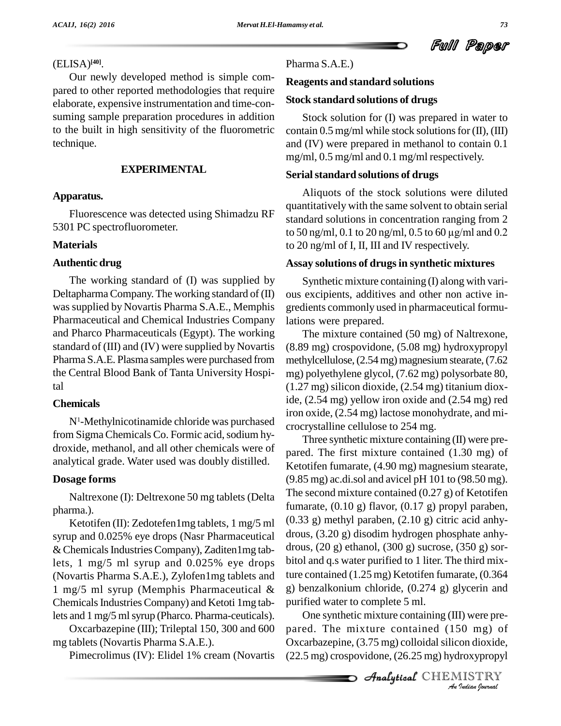Ful Paper

### (ELISA) **[40]**.

Our newly developed method is simple com pared to other reported methodologies that require elaborate, expensive instrumentation and time-con suming sample preparation procedures in addition to the built in high sensitivity of the fluorometric technique.

#### **EXPERIMENTAL**

#### **Apparatus.**

Fluorescence was detected using Shimadzu RF 5301 PC spectrofluorometer.

#### **Materials**

#### **Authentic drug**

The working standard of (I) was supplied by DeltapharmaCompany.The working standard of (II) wassupplied by Novartis Pharma S.A.E., Memphis Pharmaceutical and Chemical Industries Company and Pharco Pharmaceuticals (Egypt). The working standard of (III) and (IV) were supplied by Novartis Pharma S.A.E. Plasma samples were purchased from the Central Blood Bank of Tanta University Hospital

#### **Chemicals**

 $N<sup>1</sup>$ -Methylnicotinamide chloride was purchased crocrystalline cellulose to 254 mg. from Sigma Chemicals Co. Formic acid, sodium hydroxide, methanol, and all other chemicals were of analytical grade. Water used was doubly distilled.

#### **Dosage forms**

Naltrexone (I): Deltrexone 50 mg tablets (Delta pharma.).

Ketotifen (II): Zedotefen1mg tablets, 1 mg/5 ml syrup and 0.025% eye drops (Nasr Pharmaceutical  $&$  Chemicals Industries Company), Zaditen1mg tablets, 1 mg/5 ml syrup and 0.025% eye drops (Novartis Pharma S.A.E.), Zylofen1mg tablets and 1 mg/5 ml syrup (Memphis Pharmaceutical & Chemicals Industries Company) and Ketoti 1mg tablets and 1 mg/5 ml syrup (Pharco. Pharma-ceuticals).

Oxcarbazepine (III); Trileptal 150, 300 and 600 mg tablets (Novartis Pharma S.A.E.).

Pimecrolimus (IV): Elidel 1% cream (Novartis

#### Pharma S.A.E.)

#### **Reagents and standard solutions**

#### **Stock standard solutions of drugs**

Stock solution for (I) was prepared in water to contain  $0.5$  mg/ml while stock solutions for  $(II)$ ,  $(III)$ and (IV) were prepared in methanol to contain 0.1 mg/ml, 0.5 mg/ml and 0.1 mg/ml respectively.

#### **Serialstandard solutions of drugs**

Aliquots of the stock solutions were diluted quantitatively with the same solvent to obtain serial standard solutions in concentration ranging from 2 to <sup>50</sup> ng/ml, 0.1 to <sup>20</sup> ng/ml, 0.5 to <sup>60</sup> µg/ml and 0.2 to 20 ng/ml of I, II, III and IV respectively.

#### **Assay solutions of drugsin synthetic mixtures**

Synthetic mixture containing (I) along with vari ous excipients, additives and other non active in gredients commonly used in pharmaceutical formulations were prepared.

The mixture contained (50 mg) of Naltrexone, (8.89 mg) crospovidone, (5.08 mg) hydroxypropyl methylcellulose, (2.54 mg) magnesium stearate, (7.62 mg) polyethylene glycol, (7.62 mg) polysorbate 80, (1.27 mg) silicon dioxide, (2.54 mg) titanium dioxide, (2.54 mg) yellow iron oxide and (2.54 mg) red iron oxide, (2.54 mg) lactose monohydrate, and mi-

Three synthetic mixture containing  $(II)$  were prepared. The first mixture contained (1.30 mg) of Ketotifen fumarate, (4.90 mg) magnesium stearate,  $(9.85 \text{ mg})$  ac.di.sol and avicel pH 101 to  $(98.50 \text{ mg})$ . The second mixture contained  $(0.27 g)$  of Ketotifen fumarate, (0.10 g) flavor, (0.17 g) propyl paraben, (0.33 g) methyl paraben, (2.10 g) citric acid anhy drous, (3.20 g) disodim hydrogen phosphate anhy drous, (20 g) ethanol, (300 g) sucrose, (350 g) sor bitol and q.s water purified to 1 liter. The third mixture contained (1.25 mg) Ketotifen fumarate, (0.364 g) benzalkonium chloride,(0.274 g) glycerin and purified water to complete 5 ml.

One synthetic mixture containing (III) were pre-<br>
ed. The mixture contained (150 mg) of<br>
carbazepine, (3.75 mg) colloidal silicon dioxide,<br>
5 mg) crospovidone, (26.25 mg) hydroxypropyl<br> *Analytteal* CHEMISTRY pared. The mixture contained (150 mg) of Oxcarbazepine,  $(3.75 \text{ mg})$  colloidal silicon dioxide, (22.5 mg) crospovidone, (26.25 mg) hydroxypropyl

**Analytical** CHEMISTRY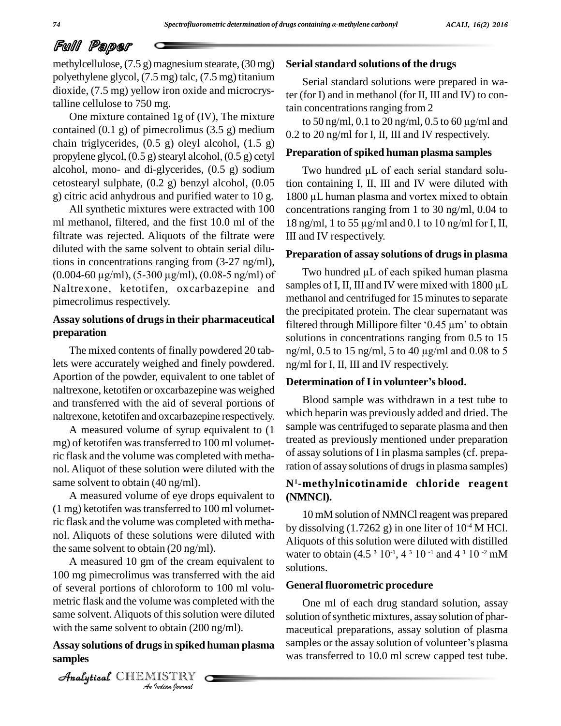methylcellulose,  $(7.5 g)$  magnesium stearate,  $(30 mg)$ polyethylene glycol, (7.5 mg) talc, (7.5 mg) titanium dioxide, (7.5 mg) yellow iron oxide and microcrystalline cellulose to 750 mg.

One mixture contained 1g of (IV), The mixture contained (0.1 g) of pimecrolimus (3.5 g) medium chain triglycerides,  $(0.5 \text{ g})$  oleyl alcohol,  $(1.5 \text{ g})$ propylene glycol,  $(0.5 g)$  stearyl alcohol,  $(0.5 g)$  cetyl alcohol, mono- and di-glycerides,  $(0.5 \text{ g})$  sodium cetostearyl sulphate, (0.2 g) benzyl alcohol, (0.05 g) citric acid anhydrous and purified water to 10 g.

All synthetic mixtures were extracted with 100 ml methanol, filtered, and the first 10.0 ml of the 18 ng/ml, 1 to 55  $\mu$ g/ml and 0.1 to 10 ng/ml for I, II, filtrate was rejected. Aliquots of the filtrate were diluted with the same solvent to obtain serial dilutions in concentrations ranging from (3-27 ng/ml), (0.004-60 µg/ml), (5-300 µg/ml), (0.08-5 ng/ml) of Naltrexone, ketotifen, oxcarbazepine and pimecrolimus respectively.

# **preparation**

The mixed contents of finally powdered 20 tablets were accurately weighed and finely powdered. Aportion of the powder, equivalent to one tablet of **Determination of I in volunteer's blood.** naltrexone, ketotifen or oxcarbazepine was weighed and transferred with the aid of several portions of naltrexone, ketotifen and oxcarbazepine respectively.

A measured volume of syrup equivalent to (1 mg) of ketotifen was transferred to 100 ml volumetric flask and the volume was completed with metha nol. Aliquot of these solution were diluted with the same solvent to obtain (40 ng/ml).

A measured volume of eye drops equivalent to (1 mg) ketotifen wastransferred to 100 ml volumetric flask and the volume was completed with metha nol. Aliquots of these solutions were diluted with the same solvent to obtain (20 ng/ml).

same solvent. Aliquots of this solution were diluted solution of this soluti<br>*I* obtain (200<br>**IISTRY** A measured 10 gm of the cream equivalent to 100 mg pimecrolimus was transferred with the aid of several portions of chloroform to 100 ml volu metric flask and the volume was completed with the with the same solvent to obtain (200 ng/ml).

# **samples**

CHEMISTRY COMPANY

#### **Serialstandard solutions of the drugs**

Serial standard solutions were prepared in water (for I) and in methanol (for II, III and IV) to contain concentrations ranging from 2

to 50 ng/ml, 0.1 to 20 ng/ml, 0.5 to 60  $\mu$ g/ml and 0.2 to 20 ng/ml for I, II, III and IV respectively.

#### **Preparation ofspiked human plasma samples**

Two hundred µL of each serial standard solution containing I, II, III and IV were diluted with Two hundred µL of each serial standard solution containing I, II, III and IV were diluted with 1800 µL human plasma and vortex mixed to obtain concentrations ranging from 1 to 30 ng/ml, 0.04 to  $1800 \mu L$  human plasma and vortex mixed to obtain III and IV respectively.

#### **Preparation of assay solutions of drugsin plasma**

Assay solutions of drugs in their pharmaceutical filtered through Millipore filter '0.45  $\mu$ m' to obtain Two hundred  $\mu$ L of each spiked human plasma samples of I, II, III and IV were mixed with 1800 µL methanol and centrifuged for 15 minutes to separate the precipitated protein. The clear supernatant was methanol and centrifuged for 15 minutes to separate<br>the precipitated protein. The clear supernatant was<br>filtered through Millipore filter '0.45 µm' to obtain solutions in concentrations ranging from 0.5 to 15 ng/ml, 0.5 to <sup>15</sup> ng/ml, <sup>5</sup> to <sup>40</sup> µg/ml and 0.08 to <sup>5</sup> ng/ml for I, II, III and IV respectively. ng/ml, 0.5 to 15 ng/ml, 5 to 40 µg/ml and 0.08<br>ng/ml for I, II, III and IV respectively.<br>**Determination of I in volunteer's blood.** 

Blood sample was withdrawn in a test tube to which heparin was previously added and dried. The sample was centrifuged to separate plasma and then treated as previously mentioned under preparation of assay solutions of I in plasma samples (cf. preparation of assay solutions of drugs in plasma samples)

#### **N<sup>1</sup>-methylnicotinamide chloride reagent (NMNCl).**

10 mM solution of NMNCl reagent was prepared by dissolving  $(1.7262 \text{ g})$  in one liter of  $10^{-4}$  M HCl. Aliquots of this solution were diluted with distilled by dissolving  $(1.7262 \text{ g})$  in one liter of  $10^4 \text{ M HCl}$ .<br>Aliquots of this solution were diluted with distilled<br>water to obtain  $(4.5 \text{ m})^{-1}$ ,  $4 \text{ m}^{-1}$  and  $4 \text{ m}^{-1}$  and  $10^{-2} \text{ mM}$  $^{-1}$ , 4  $^3$  10  $^{-1}$  and 4  $^3$  10  $^{-2}$  mM solutions.

#### **General fluorometric procedure**

Assay solutions of drugs in spiked human plasma samples or the assay solution of volunteer's plasma One ml of each drug standard solution, assay solution of synthetic mixtures, assay solution of pharmaceutical preparations, assay solution of plasma solution of synthetic mixtures, assay solution of phar-<br>maceutical preparations, assay solution of plasma<br>samples or the assay solution of volunteer's plasma was transferred to 10.0 ml screw capped test tube.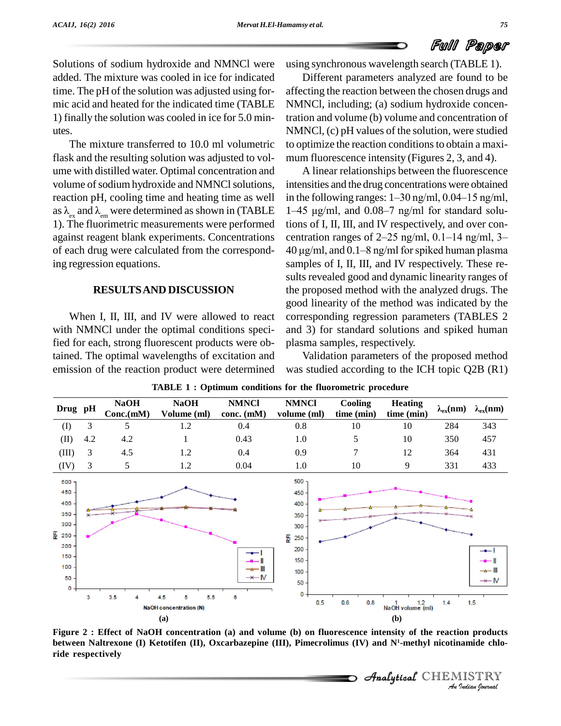Solutions of sodium hydroxide and NMNCl were added. The mixture was cooled in ice for indicated time. The pH of the solution was adjusted using for mic acid and heated for the indicated time (TABLE 1) finally the solution was cooled in ice for 5.0 min-

utes.The mixture transferred to 10.0 ml volumetric flask and the resulting solution was adjusted to vol ume with distilled water. Optimal concentration and volume of sodium hydroxide and NMNCl solutions, as  $\lambda_{\text{ex}}$  and  $\lambda_{\text{em}}$  were determined as shown in (TABLE 1). The fluorimetric measurements were performed of each drug were calculated from the corresponding regression equations.

#### **RESULTSAND DISCUSSION**

When I, II, III, and IV were allowed to react with NMNCl under the optimal conditions specified for each, strong fluorescent products were obtained. The optimal wavelengths of excitation and emission of the reaction product were determined

using synchronous wavelength search (TABLE 1).

Different parameters analyzed are found to be affecting the reaction between the chosen drugs and NMNCl, including; (a) sodium hydroxide concentration and volume (b) volume and concentration of NMNCl, (c) pH values of the solution, were studied to optimize the reaction conditions to obtain a maximum fluorescence intensity (Figures 2, 3, and 4).

reaction pH, cooling time and heating time as well in the following ranges:  $1-30$  ng/ml,  $0.04-15$  ng/ml, against reagent blank experiments. Concentrations centration ranges of 2-25 ng/ml, 0.1-14 ng/ml, 3-A linear relationships between the fluorescence intensities and the drug concentrations were obtained A linear relationships between the fluorescence<br>intensities and the drug concentrations were obtained<br>in the following ranges:  $1-30$  ng/ml,  $0.04-15$  ng/ml, 1–45  $\mu$ g/ml, and 0.08–7 ng/ml for standard solutions of I, II, III, and IV respectively, and over con- 1–45 µg/ml, and 0.08–7 ng/ml for standard solutions of I, II, III, and IV respectively, and over concentration ranges of 2–25 ng/ml, 0.1–14 ng/ml, 3– tions of I, II, III, and IV respectively, and over concentration ranges of 2–25 ng/ml, 0.1–14 ng/ml, 3–<br>40 µg/ml, and 0.1–8 ng/ml for spiked human plasma samples of I, II, III, and IV respectively. These re sults revealed good and dynamic linearity ranges of the proposed method with the analyzed drugs. The good linearity of the method was indicated by the corresponding regression parameters (TABLES 2 and 3) for standard solutions and spiked human plasma samples, respectively.

> Validation parameters of the proposed method was studied according to the ICH topic Q2B (R1)

|                                                                                      |     |                          | <b>TABLE 1 : Optimum conditions for the fluorometric procedure</b> |                              |                                                                         |                              |                              |                        |                                             |
|--------------------------------------------------------------------------------------|-----|--------------------------|--------------------------------------------------------------------|------------------------------|-------------------------------------------------------------------------|------------------------------|------------------------------|------------------------|---------------------------------------------|
| Drug pH                                                                              |     | <b>NaOH</b><br>Conc.(mM) | <b>NaOH</b><br>Volume (ml)                                         | <b>NMNCI</b><br>$cone.$ (mM) | <b>NMNCI</b><br>volume (ml)                                             | <b>Cooling</b><br>time (min) | <b>Heating</b><br>time (min) | $\lambda_{\rm ex}(nm)$ | $\lambda_{ex}(nm)$                          |
| (I)                                                                                  | 3   | 5                        | 1.2                                                                | 0.4                          | 0.8                                                                     | 10                           | 10                           | 284                    | 343                                         |
| (II)                                                                                 | 4.2 | 4.2                      |                                                                    | 0.43                         | 1.0                                                                     | 5                            | 10                           | 350                    | 457                                         |
| (III)                                                                                | 3   | 4.5                      | 1.2                                                                | 0.4                          | 0.9                                                                     | 7                            | 12                           | 364                    | 431                                         |
| (IV)                                                                                 | 3   | 5                        | 1.2                                                                | 0.04                         | 1.0                                                                     | 10                           | 9                            | 331                    | 433                                         |
| 500<br>$450 -$<br>$400 -$<br>350<br>300<br>툳 250<br>200<br>150<br>100<br>50<br>$0 -$ |     |                          |                                                                    | ╼<br>$\rightarrow$ M         | 500<br>450<br>400<br>350<br>300<br>푼 250<br>200<br>150<br>$100 -$<br>50 |                              |                              |                        | $+$<br>—— III<br>$\rightarrow\rightarrow$ N |
|                                                                                      | 3   | 3.5<br>л                 | 5.5<br>4.5<br>5<br><b>NaOH</b> concentration (N)                   | 8                            | $\bf{0}$<br>0.5 <sub>1</sub>                                            | 0.6<br>0.8                   | 12<br>NaOH volume (ml)       | 1.4                    | 1.5                                         |
| (a)                                                                                  |     |                          |                                                                    |                              | (b)                                                                     |                              |                              |                        |                                             |

**TABLE 1 : Optimum conditions for the fluorometric procedure**

**on products<br>12 amide chlo<br>IISTRY<br>***Indian Iournal* Figure 2 : Effect of NaOH concentration (a) and volume (b) on fluorescence intensity of the reaction products **between Naltrexone (I) Ketotifen (II), Oxcarbazepine (III), Pimecrolimus (IV) and N<sup>1</sup>-methyl nicotinamide chlo ride respectively**

CHEMISTRY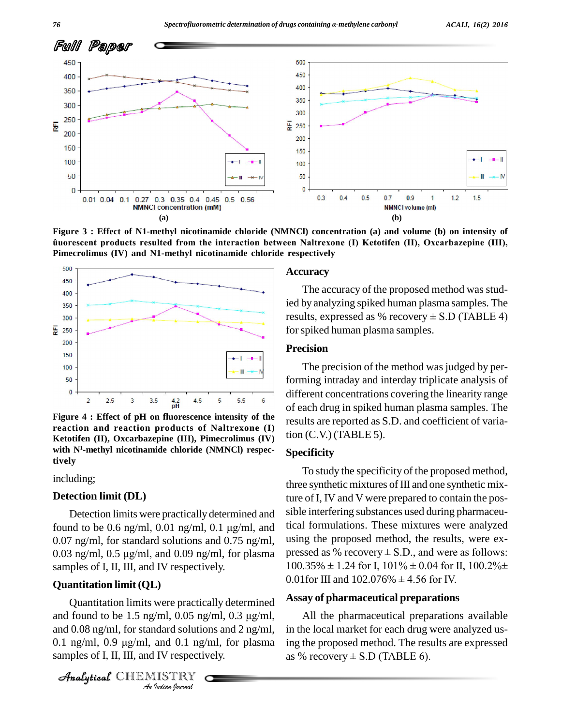

**Figure 3 : Effect of N1-methyl nicotinamide chloride (NMNCl) concentration (a)and volume (b) on intensity of products resulted from the interaction between Naltrexone (I) Ketotifen (II),Oxcarbazepine (III), Pimecrolimus (IV) and N1-methyl nicotinamide chloride respectively**



**Figure** 4 : Effect of pH on fluorescence intensity of the **reaction and reaction products of Naltrexone (I) Ketotifen (II), Oxcarbazepine (III), Pimecrolimus (IV) with N<sup>1</sup>-methyl nicotinamide chloride (NMNCl) respectively**

including;

#### **Detection limit (DL)**

Detection limits were practically determined and for the total to be 0.6 ng/ml, 0.01 ng/ml, 0.1 µg/ml, and tical found to be 0.6 ng/ml, 0.01 ng/ml, 0.1 µg/ml, and tical found 0.07 ng/ml, for standard solutions and 0.75 ng/ml, found to be 0.6 ng/ml, 0.01 ng/ml, 0.1  $\mu$ g/ml, and tical 1<br>0.07 ng/ml, for standard solutions and 0.75 ng/ml, using<br>0.03 ng/ml, 0.5  $\mu$ g/ml, and 0.09 ng/ml, for plasma presse samples of I, II, III, and IV respectively.

#### **Quantitation limit (QL)**

**Quantitation limits were practically determined**<br>
and found to be 1.5 ng/ml, 0.05 ng/ml, 0.3 µg/ml,<br>
and 0.08 ng/ml, for standard solutions and 2 ng/ml, in<br>
0.1 ng/ml, 0.9 µg/ml, and 0.1 ng/ml, for plasma in<br>
samples of I Quantitation limits were practically determined and 0.08 ng/ml, for standard solutions and 2 ng/ml, and found to be 1.5 ng/ml, 0.05 ng/ml, 0.3  $\mu$ g/ml, A<br>and 0.08 ng/ml, for standard solutions and 2 ng/ml, in the<br>0.1 ng/ml, 0.9  $\mu$ g/ml, and 0.1 ng/ml, for plasma ing th samples of I, II, III, and IV respectively.

CHEMISTRY

#### **Accuracy**

The accuracy of the proposed method was studied by analyzing spiked human plasma samples. The The accuracy of the proposed method was stud-<br>ied by analyzing spiked human plasma samples. The<br>results, expressed as % recovery  $\pm$  S.D (TABLE 4) for spiked human plasma samples.

#### **Precision**

The precision of the method was judged by performing intraday and interday triplicate analysis of different concentrations covering the linearity range of each drug in spiked human plasma samples. The results are reported as S.D. and coefficient of variation (C.V.) (TABLE 5).

#### **Specificity**

To study the specificity of the proposed method, three synthetic mixtures of III and one synthetic mixture of I, IV and V were prepared to contain the possible interfering substances used during pharmaceutical formulations. These mixtures were analyzed using the proposed method, the results, were ex tical formulations. These mixtures were analyzed<br>using the proposed method, the results, were ex-<br>pressed as % recovery  $\pm$  S.D., and were as follows: using the proposed method, the results, were ex-<br>pressed as % recovery  $\pm$  S.D., and were as follows:<br>100.35%  $\pm$  1.24 for I, 101%  $\pm$  0.04 for II, 100.2% $\pm$ pressed as % recovery  $\pm$  S.D., and were as for 100.35%  $\pm$  1.24 for I, 101%  $\pm$  0.04 for II, 100.01for III and 102.076%  $\pm$  4.56 for IV.

#### **Assay of pharmaceutical preparations**

All the pharmaceutical preparations available in the local market for each drug were analyzed us-as % recovery <sup>±</sup> S.D (TABLE 6).ing the proposed method. The results are expressed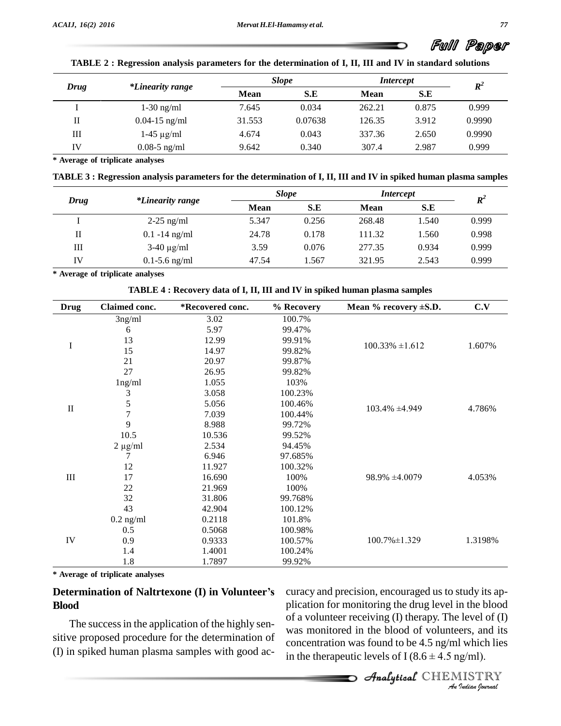|      |                         | <b>Slope</b> |         | <i>Intercept</i> |       | $\boldsymbol{R}^2$ |
|------|-------------------------|--------------|---------|------------------|-------|--------------------|
| Drug | <i>*Linearity range</i> | <b>Mean</b>  | S.E     | Mean             | S.E   |                    |
|      | $1-30$ ng/ml            | 7.645        | 0.034   | 262.21           | 0.875 | 0.999              |
| П    | $0.04 - 15$ ng/ml       | 31.553       | 0.07638 | 126.35           | 3.912 | 0.9990             |
| Ш    | $1-45 \mu g/ml$         | 4.674        | 0.043   | 337.36           | 2.650 | 0.9990             |
| IV   | $0.08 - 5$ ng/ml        | 9.642        | 0.340   | 307.4            | 2.987 | 0.999              |

TABLE 2: Regression analysis parameters for the determination of I. II. III and IV in standard solutions

**\* Average of triplicate analyses**

TABLE 3 : Regression analysis parameters for the determination of I, II, III and IV in spiked human plasma samples

|      |                         | <b>Slope</b> |       | <i>Intercept</i> |       | $\boldsymbol{R}^2$ |
|------|-------------------------|--------------|-------|------------------|-------|--------------------|
| Drug | <i>*Linearity range</i> | <b>Mean</b>  | S.E   | <b>Mean</b>      | S.E   |                    |
|      | $2-25$ ng/ml            | 5.347        | 0.256 | 268.48           | 1.540 | 0.999              |
| П    | $0.1 - 14$ ng/ml        | 24.78        | 0.178 | 111.32           | 1.560 | 0.998              |
| Ш    | $3-40 \mu g/ml$         | 3.59         | 0.076 | 277.35           | 0.934 | 0.999              |
| IV   | $0.1 - 5.6$ ng/ml       | 47.54        | 1.567 | 321.95           | 2.543 | 0.999              |

**\* Average of triplicate analyses**

| <b>Drug</b>  | Claimed conc. | *Recovered conc. | % Recovery | Mean $%$ recovery $\pm$ S.D. | C.V     |  |
|--------------|---------------|------------------|------------|------------------------------|---------|--|
|              | 3ng/ml        | 3.02             | 100.7%     |                              |         |  |
|              | 6             | 5.97             | 99.47%     |                              | 1.607%  |  |
| I            | 13            | 12.99            | 99.91%     | $100.33\% \pm 1.612$         |         |  |
|              | 15            | 14.97            | 99.82%     |                              |         |  |
|              | 21            | 20.97            | 99.87%     |                              |         |  |
|              | 27            | 26.95            | 99.82%     |                              |         |  |
|              | lng/ml        | 1.055            | 103%       |                              |         |  |
|              | 3             | 3.058            | 100.23%    |                              | 4.786%  |  |
| $\mathbf{I}$ | 5             | 5.056            | 100.46%    | $103.4\% \pm 4.949$          |         |  |
|              |               | 7.039            | 100.44%    |                              |         |  |
|              | 9             | 8.988            | 99.72%     |                              |         |  |
|              | 10.5          | 10.536           | 99.52%     |                              |         |  |
|              | $2 \mu g/ml$  | 2.534            | 94.45%     |                              |         |  |
|              | 7             | 6.946            | 97.685%    |                              | 4.053%  |  |
|              | 12            | 11.927           | 100.32%    |                              |         |  |
| $\rm III$    | 17            | 16.690           | 100%       | $98.9\% \pm 4.0079$          |         |  |
|              | 22            | 21.969           | 100%       |                              |         |  |
|              | 32            | 31.806           | 99.768%    |                              |         |  |
|              | 43            | 42.904           | 100.12%    |                              |         |  |
|              | $0.2$ ng/ml   | 0.2118           | 101.8%     |                              |         |  |
|              | 0.5           | 0.5068           | 100.98%    |                              |         |  |
| ${\rm IV}$   | 0.9           | 0.9333           | 100.57%    | 100.7% ±1.329                | 1.3198% |  |
|              | 1.4           | 1.4001           | 100.24%    |                              |         |  |
|              | 1.8           | 1.7897           | 99.92%     |                              |         |  |

**\* Average of triplicate analyses**

#### **Determination of Naltrtexone (I) in Volunteerís Blood**

The successin the application of the highly sen sitive proposed procedure for the determination of

*An*plication for monitoring the drug level in the blood *I* level of (I)<br>*I* ers, and its<br>*I* which lies<br>*g*/ml).<br>*IISTRY* of a volunteer receiving (I) therapy. The level of  $(I)$ (I) in spiked human plasma samples with good  $ac-$  in the therapeutic levels of I (8.6  $\pm$  4.5 ng/ml). curacy and precision, encouraged us to study its ap was monitored in the blood of volunteers, and its<br>concentration was found to be  $4.5$  ng/ml which lies<br>in the therapeutic levels of I  $(8.6 \pm 4.5$  ng/ml). concentration was found to be 4.5 ng/ml which lies

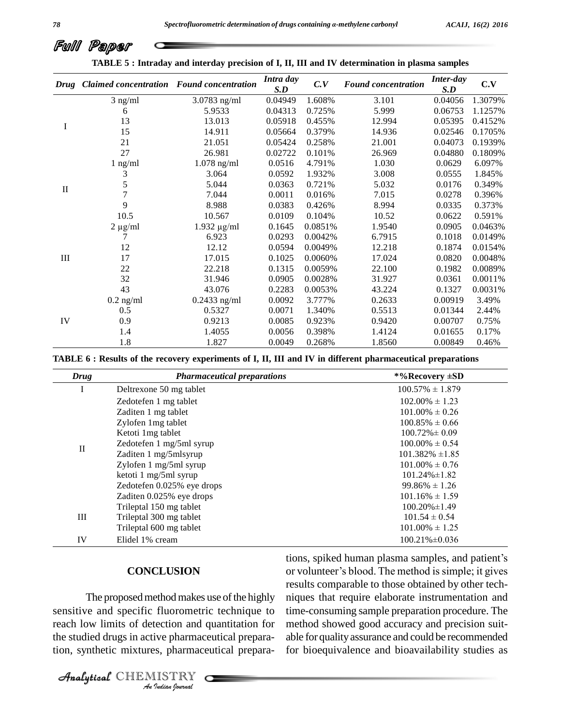|          | TADLE 3. Thil and y and internal precision of 1, 11, 111 and 1 v determination in plasma samples |                  |                  |          |                            |                         |         |
|----------|--------------------------------------------------------------------------------------------------|------------------|------------------|----------|----------------------------|-------------------------|---------|
|          | Drug Claimed concentration Found concentration                                                   |                  | Intra day<br>S.D | C.V      | <b>Found concentration</b> | <b>Inter-day</b><br>S.D | C.V     |
|          | $3$ ng/ml                                                                                        | $3.0783$ ng/ml   | 0.04949          | 1.608%   | 3.101                      | 0.04056                 | 1.3079% |
|          | 6                                                                                                | 5.9533           | 0.04313          | 0.725%   | 5.999                      | 0.06753                 | 1.1257% |
|          | 13                                                                                               | 13.013           | 0.05918          | 0.455%   | 12.994                     | 0.05395                 | 0.4152% |
| I        | 15                                                                                               | 14.911           | 0.05664          | 0.379%   | 14.936                     | 0.02546                 | 0.1705% |
|          | 21                                                                                               | 21.051           | 0.05424          | 0.258%   | 21.001                     | 0.04073                 | 0.1939% |
|          | 27                                                                                               | 26.981           | 0.02722          | 0.101%   | 26.969                     | 0.04880                 | 0.1809% |
|          | $1$ ng/ml                                                                                        | $1.078$ ng/ml    | 0.0516           | 4.791%   | 1.030                      | 0.0629                  | 6.097%  |
|          | 3                                                                                                | 3.064            | 0.0592           | 1.932%   | 3.008                      | 0.0555                  | 1.845%  |
|          | 5                                                                                                | 5.044            | 0.0363           | 0.721%   | 5.032                      | 0.0176                  | 0.349%  |
| $\rm II$ | $\overline{7}$                                                                                   | 7.044            | 0.0011           | 0.016%   | 7.015                      | 0.0278                  | 0.396%  |
|          | 9                                                                                                | 8.988            | 0.0383           | 0.426%   | 8.994                      | 0.0335                  | 0.373%  |
|          | 10.5                                                                                             | 10.567           | 0.0109           | 0.104%   | 10.52                      | 0.0622                  | 0.591%  |
|          | $2 \mu g/ml$                                                                                     | $1.932 \mu g/ml$ | 0.1645           | 0.0851\% | 1.9540                     | 0.0905                  | 0.0463% |
|          |                                                                                                  | 6.923            | 0.0293           | 0.0042\% | 6.7915                     | 0.1018                  | 0.0149% |
|          | 12                                                                                               | 12.12            | 0.0594           | 0.0049%  | 12.218                     | 0.1874                  | 0.0154% |
| III      | 17                                                                                               | 17.015           | 0.1025           | 0.0060%  | 17.024                     | 0.0820                  | 0.0048% |
|          | 22                                                                                               | 22.218           | 0.1315           | 0.0059%  | 22.100                     | 0.1982                  | 0.0089% |
|          | 32                                                                                               | 31.946           | 0.0905           | 0.0028%  | 31.927                     | 0.0361                  | 0.0011% |
|          | 43                                                                                               | 43.076           | 0.2283           | 0.0053%  | 43.224                     | 0.1327                  | 0.0031% |
|          | $0.2$ ng/ml                                                                                      | $0.2433$ ng/ml   | 0.0092           | 3.777%   | 0.2633                     | 0.00919                 | 3.49%   |
|          | 0.5                                                                                              | 0.5327           | 0.0071           | 1.340%   | 0.5513                     | 0.01344                 | 2.44%   |
| IV       | 0.9                                                                                              | 0.9213           | 0.0085           | 0.923%   | 0.9420                     | 0.00707                 | 0.75%   |
|          | 1.4                                                                                              | 1.4055           | 0.0056           | 0.398%   | 1.4124                     | 0.01655                 | 0.17%   |
|          | 1.8                                                                                              | 1.827            | 0.0049           | 0.268%   | 1.8560                     | 0.00849                 | 0.46%   |

**TABLE 5 : Intraday and interday precision of I, II, III and IV determination in plasma samples**

| Drug         | <b>Pharmaceutical preparations</b> | *%Recovery ±SD       |  |
|--------------|------------------------------------|----------------------|--|
| I            | Deltrexone 50 mg tablet            | $100.57\% \pm 1.879$ |  |
|              | Zedotefen 1 mg tablet              | $102.00\% \pm 1.23$  |  |
|              | Zaditen 1 mg tablet                | $101.00\% \pm 0.26$  |  |
|              | Zylofen 1mg tablet                 | $100.85\% \pm 0.66$  |  |
|              | Ketoti 1mg tablet                  | $100.72\% \pm 0.09$  |  |
| $\mathbf{I}$ | Zedotefen 1 mg/5ml syrup           | $100.00\% \pm 0.54$  |  |
|              | Zaditen 1 mg/5mlsyrup              | $101.382\% \pm 1.85$ |  |
|              | Zylofen 1 mg/5ml syrup             | $101.00\% \pm 0.76$  |  |
|              | ketoti 1 mg/5ml syrup              | $101.24\% \pm 1.82$  |  |
|              | Zedotefen 0.025% eye drops         | $99.86\% \pm 1.26$   |  |
|              | Zaditen 0.025% eye drops           | $101.16\% \pm 1.59$  |  |
|              | Trileptal 150 mg tablet            | $100.20\% \pm 1.49$  |  |
| III          | Trileptal 300 mg tablet            | $101.54 \pm 0.54$    |  |
|              | Trileptal 600 mg tablet            | $101.00\% \pm 1.25$  |  |
|              |                                    |                      |  |

#### **CONCLUSION**

sensitive and specific fluorometric technique to time-co *I*<br>**I**lection and<br>**I**<br>**IISTRY**<br>**IISTRY** The proposed method makes use of the highly reach low limits of detection and quantitation for the studied drugs in active pharmaceutical preparation, synthetic mixtures, pharmaceutical prepara-

CHEMISTRY COMPANY

tions, spiked human plasma samples, and patient's or volunteer's blood. The method is simple; it gives results comparable to those obtained by other tech niques that require elaborate instrumentation and time-consuming sample preparation procedure. The method showed good accuracy and precision suit able for quality assurance and could be recommended for bioequivalence and bioavailability studies as

| I | I<br>I<br>۰. |
|---|--------------|
|   |              |

Full Paper